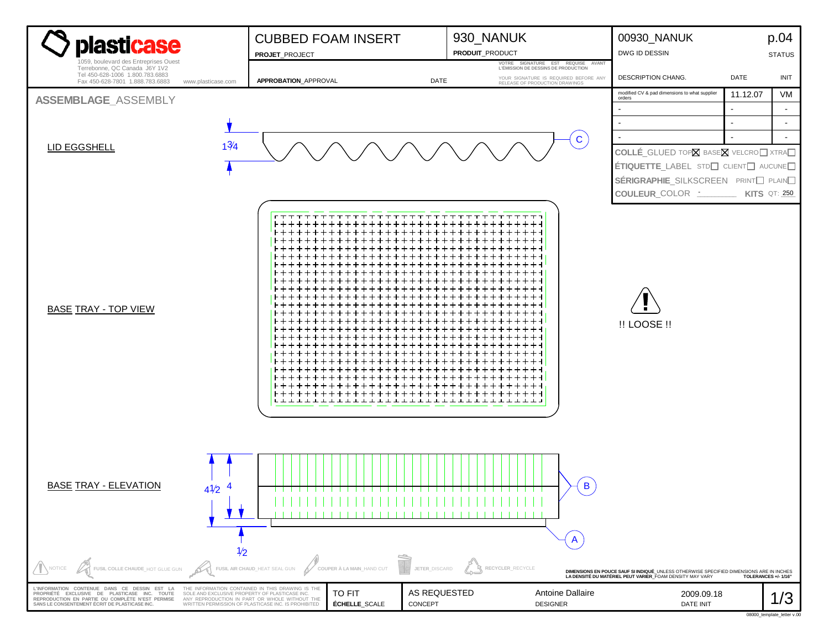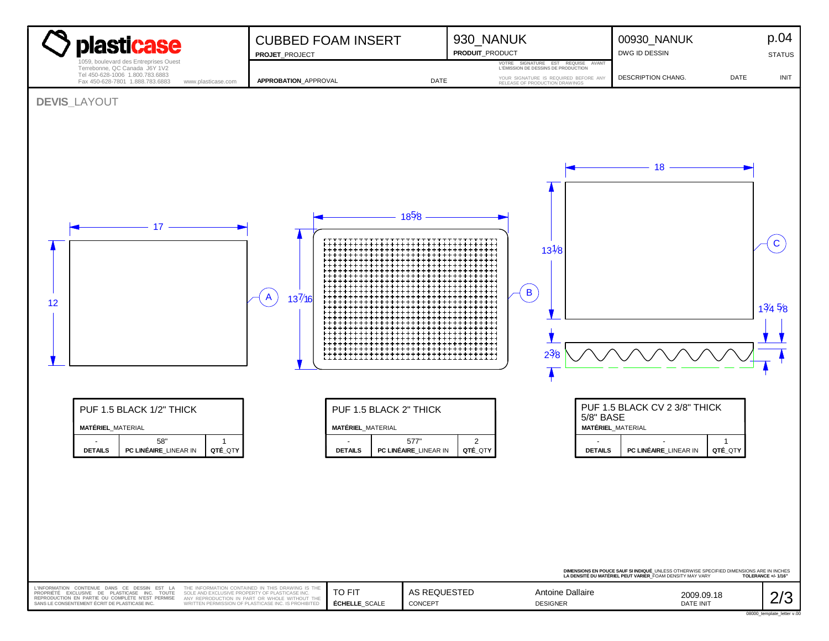